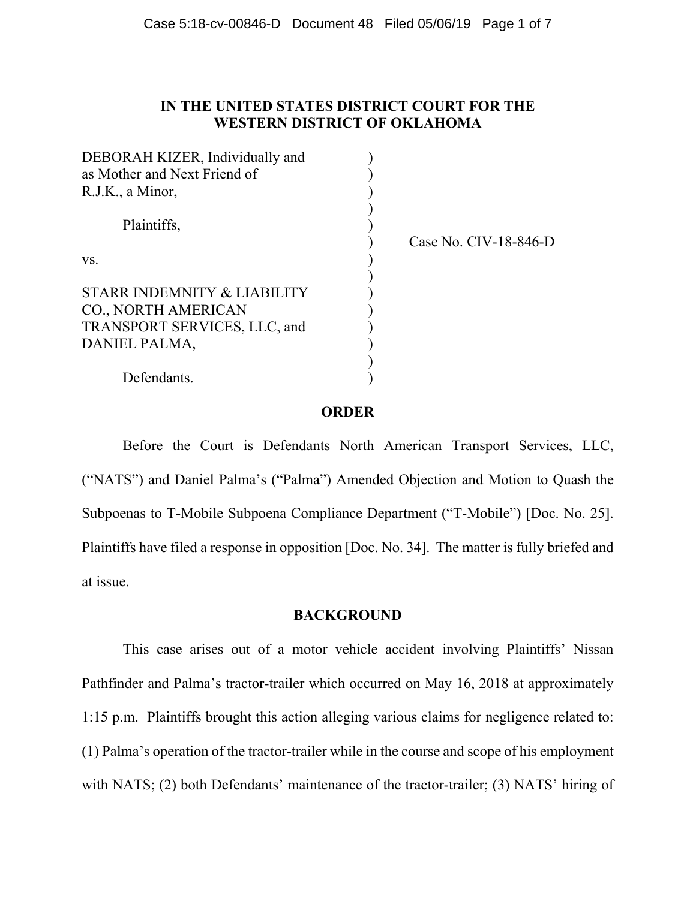# **IN THE UNITED STATES DISTRICT COURT FOR THE WESTERN DISTRICT OF OKLAHOMA**

| DEBORAH KIZER, Individually and |                       |
|---------------------------------|-----------------------|
| as Mother and Next Friend of    |                       |
| R.J.K., a Minor,                |                       |
|                                 |                       |
| Plaintiffs,                     |                       |
|                                 | Case No. CIV-18-846-D |
| VS.                             |                       |
|                                 |                       |
| STARR INDEMNITY & LIABILITY     |                       |
| CO., NORTH AMERICAN             |                       |
| TRANSPORT SERVICES, LLC, and    |                       |
| DANIEL PALMA,                   |                       |
|                                 |                       |
| Defendants.                     |                       |
|                                 |                       |

# **ORDER**

Before the Court is Defendants North American Transport Services, LLC, ("NATS") and Daniel Palma's ("Palma") Amended Objection and Motion to Quash the Subpoenas to T-Mobile Subpoena Compliance Department ("T-Mobile") [Doc. No. 25]. Plaintiffs have filed a response in opposition [Doc. No. 34]. The matter is fully briefed and at issue.

# **BACKGROUND**

 This case arises out of a motor vehicle accident involving Plaintiffs' Nissan Pathfinder and Palma's tractor-trailer which occurred on May 16, 2018 at approximately 1:15 p.m. Plaintiffs brought this action alleging various claims for negligence related to: (1) Palma's operation of the tractor-trailer while in the course and scope of his employment with NATS; (2) both Defendants' maintenance of the tractor-trailer; (3) NATS' hiring of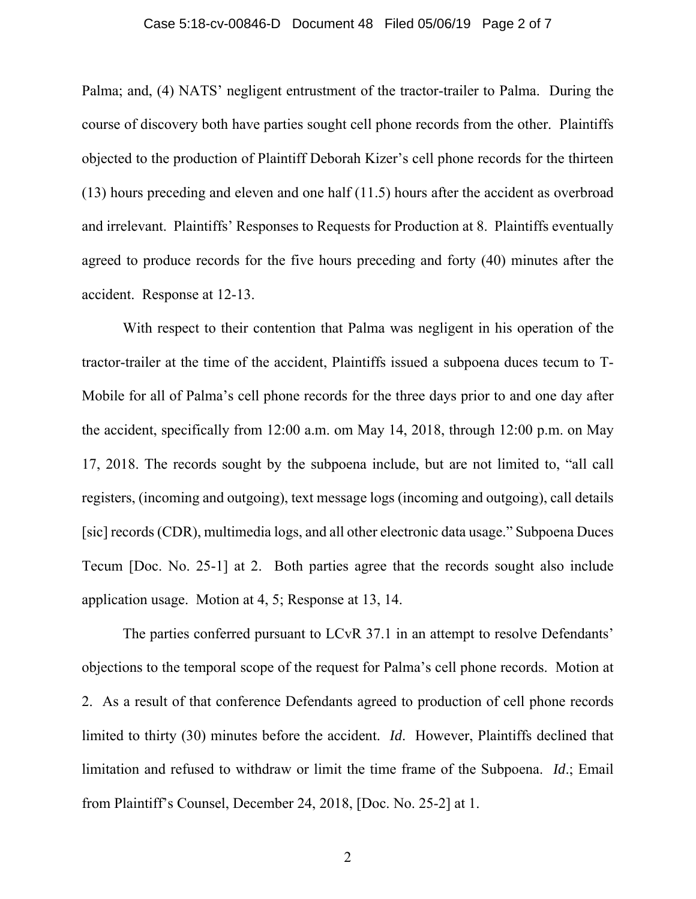### Case 5:18-cv-00846-D Document 48 Filed 05/06/19 Page 2 of 7

Palma; and, (4) NATS' negligent entrustment of the tractor-trailer to Palma. During the course of discovery both have parties sought cell phone records from the other. Plaintiffs objected to the production of Plaintiff Deborah Kizer's cell phone records for the thirteen (13) hours preceding and eleven and one half (11.5) hours after the accident as overbroad and irrelevant. Plaintiffs' Responses to Requests for Production at 8. Plaintiffs eventually agreed to produce records for the five hours preceding and forty (40) minutes after the accident. Response at 12-13.

With respect to their contention that Palma was negligent in his operation of the tractor-trailer at the time of the accident, Plaintiffs issued a subpoena duces tecum to T-Mobile for all of Palma's cell phone records for the three days prior to and one day after the accident, specifically from 12:00 a.m. om May 14, 2018, through 12:00 p.m. on May 17, 2018. The records sought by the subpoena include, but are not limited to, "all call registers, (incoming and outgoing), text message logs (incoming and outgoing), call details [sic] records (CDR), multimedia logs, and all other electronic data usage." Subpoena Duces Tecum [Doc. No. 25-1] at 2. Both parties agree that the records sought also include application usage. Motion at 4, 5; Response at 13, 14.

The parties conferred pursuant to LCvR 37.1 in an attempt to resolve Defendants' objections to the temporal scope of the request for Palma's cell phone records. Motion at 2. As a result of that conference Defendants agreed to production of cell phone records limited to thirty (30) minutes before the accident. *Id*. However, Plaintiffs declined that limitation and refused to withdraw or limit the time frame of the Subpoena. *Id*.; Email from Plaintiff's Counsel, December 24, 2018, [Doc. No. 25-2] at 1.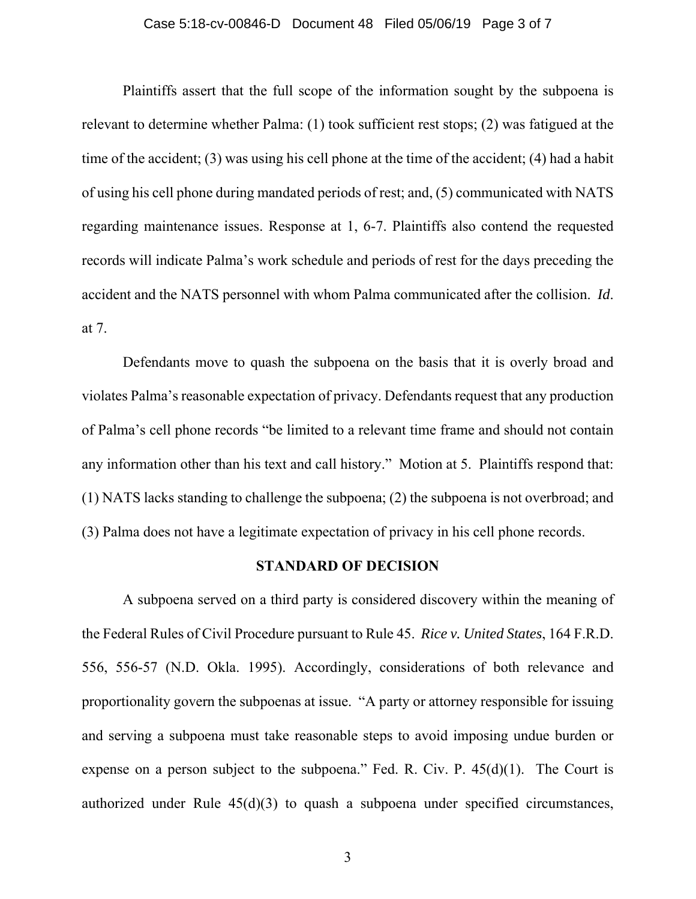### Case 5:18-cv-00846-D Document 48 Filed 05/06/19 Page 3 of 7

Plaintiffs assert that the full scope of the information sought by the subpoena is relevant to determine whether Palma: (1) took sufficient rest stops; (2) was fatigued at the time of the accident; (3) was using his cell phone at the time of the accident; (4) had a habit of using his cell phone during mandated periods of rest; and, (5) communicated with NATS regarding maintenance issues. Response at 1, 6-7. Plaintiffs also contend the requested records will indicate Palma's work schedule and periods of rest for the days preceding the accident and the NATS personnel with whom Palma communicated after the collision. *Id*. at 7.

Defendants move to quash the subpoena on the basis that it is overly broad and violates Palma's reasonable expectation of privacy. Defendants request that any production of Palma's cell phone records "be limited to a relevant time frame and should not contain any information other than his text and call history." Motion at 5. Plaintiffs respond that: (1) NATS lacks standing to challenge the subpoena; (2) the subpoena is not overbroad; and (3) Palma does not have a legitimate expectation of privacy in his cell phone records.

### **STANDARD OF DECISION**

A subpoena served on a third party is considered discovery within the meaning of the Federal Rules of Civil Procedure pursuant to Rule 45. *Rice v. United States*, 164 F.R.D. 556, 556-57 (N.D. Okla. 1995). Accordingly, considerations of both relevance and proportionality govern the subpoenas at issue. "A party or attorney responsible for issuing and serving a subpoena must take reasonable steps to avoid imposing undue burden or expense on a person subject to the subpoena." Fed. R. Civ. P.  $45(d)(1)$ . The Court is authorized under Rule 45(d)(3) to quash a subpoena under specified circumstances,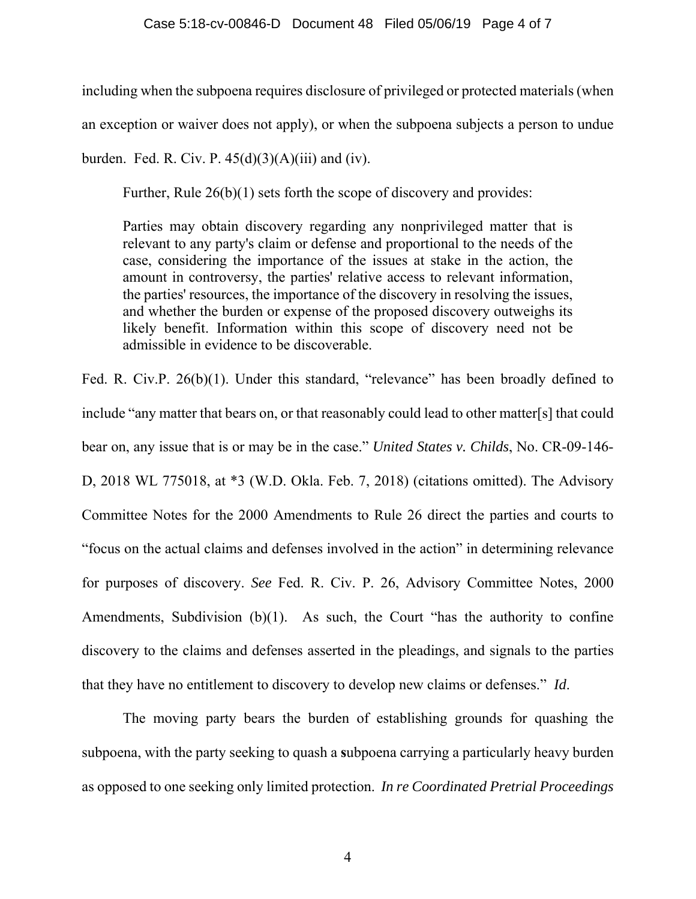including when the subpoena requires disclosure of privileged or protected materials (when an exception or waiver does not apply), or when the subpoena subjects a person to undue burden. Fed. R. Civ. P.  $45(d)(3)(A)(iii)$  and (iv).

Further, Rule 26(b)(1) sets forth the scope of discovery and provides:

Parties may obtain discovery regarding any nonprivileged matter that is relevant to any party's claim or defense and proportional to the needs of the case, considering the importance of the issues at stake in the action, the amount in controversy, the parties' relative access to relevant information, the parties' resources, the importance of the discovery in resolving the issues, and whether the burden or expense of the proposed discovery outweighs its likely benefit. Information within this scope of discovery need not be admissible in evidence to be discoverable.

Fed. R. Civ.P. 26(b)(1). Under this standard, "relevance" has been broadly defined to include "any matter that bears on, or that reasonably could lead to other matter[s] that could bear on, any issue that is or may be in the case." *United States v. Childs*, No. CR-09-146- D, 2018 WL 775018, at \*3 (W.D. Okla. Feb. 7, 2018) (citations omitted). The Advisory Committee Notes for the 2000 Amendments to Rule 26 direct the parties and courts to "focus on the actual claims and defenses involved in the action" in determining relevance for purposes of discovery. *See* Fed. R. Civ. P. 26, Advisory Committee Notes, 2000 Amendments, Subdivision (b)(1). As such, the Court "has the authority to confine discovery to the claims and defenses asserted in the pleadings, and signals to the parties that they have no entitlement to discovery to develop new claims or defenses." *Id*.

The moving party bears the burden of establishing grounds for quashing the subpoena, with the party seeking to quash a **s**ubpoena carrying a particularly heavy burden as opposed to one seeking only limited protection. *In re Coordinated Pretrial Proceedings*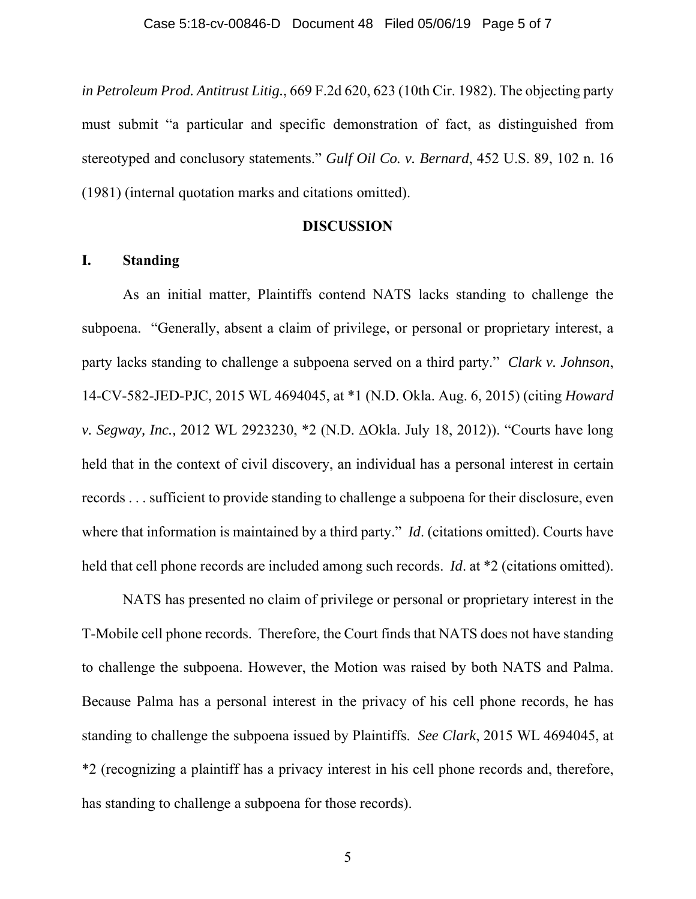*in Petroleum Prod. Antitrust Litig.*, 669 F.2d 620, 623 (10th Cir. 1982). The objecting party must submit "a particular and specific demonstration of fact, as distinguished from stereotyped and conclusory statements." *Gulf Oil Co. v. Bernard*, 452 U.S. 89, 102 n. 16 (1981) (internal quotation marks and citations omitted).

### **DISCUSSION**

# **I. Standing**

 As an initial matter, Plaintiffs contend NATS lacks standing to challenge the subpoena. "Generally, absent a claim of privilege, or personal or proprietary interest, a party lacks standing to challenge a subpoena served on a third party." *Clark v. Johnson*, 14-CV-582-JED-PJC, 2015 WL 4694045, at \*1 (N.D. Okla. Aug. 6, 2015) (citing *Howard v. Segway, Inc.,* 2012 WL 2923230, \*2 (N.D. ∆Okla. July 18, 2012)). "Courts have long held that in the context of civil discovery, an individual has a personal interest in certain records . . . sufficient to provide standing to challenge a subpoena for their disclosure, even where that information is maintained by a third party." *Id*. (citations omitted). Courts have held that cell phone records are included among such records. *Id*. at \*2 (citations omitted).

 NATS has presented no claim of privilege or personal or proprietary interest in the T-Mobile cell phone records. Therefore, the Court finds that NATS does not have standing to challenge the subpoena. However, the Motion was raised by both NATS and Palma. Because Palma has a personal interest in the privacy of his cell phone records, he has standing to challenge the subpoena issued by Plaintiffs. *See Clark*, 2015 WL 4694045, at \*2 (recognizing a plaintiff has a privacy interest in his cell phone records and, therefore, has standing to challenge a subpoena for those records).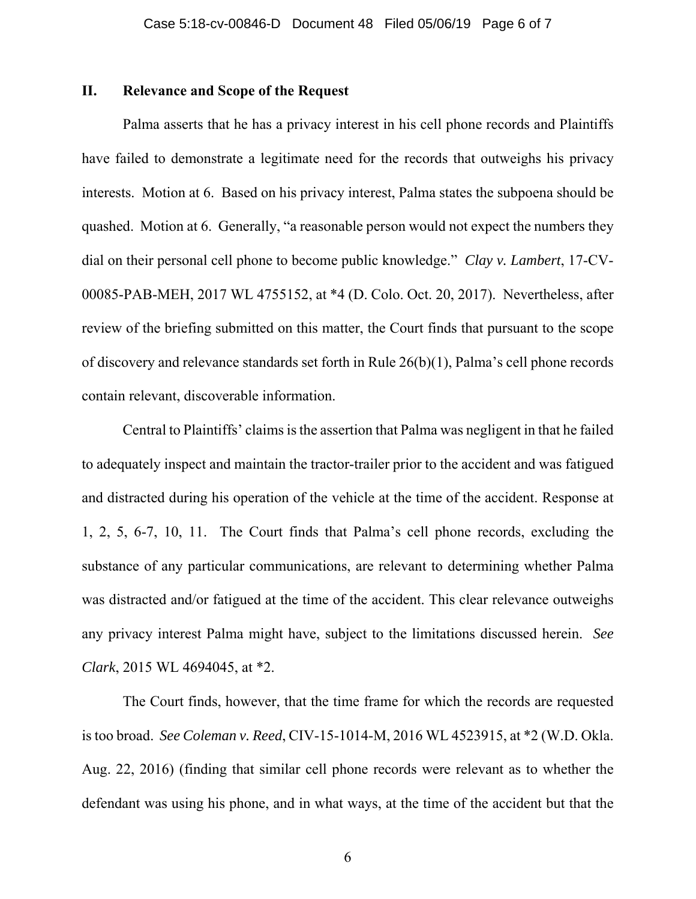# **II. Relevance and Scope of the Request**

 Palma asserts that he has a privacy interest in his cell phone records and Plaintiffs have failed to demonstrate a legitimate need for the records that outweighs his privacy interests. Motion at 6. Based on his privacy interest, Palma states the subpoena should be quashed. Motion at 6. Generally, "a reasonable person would not expect the numbers they dial on their personal cell phone to become public knowledge." *Clay v. Lambert*, 17-CV-00085-PAB-MEH, 2017 WL 4755152, at \*4 (D. Colo. Oct. 20, 2017). Nevertheless, after review of the briefing submitted on this matter, the Court finds that pursuant to the scope of discovery and relevance standards set forth in Rule 26(b)(1), Palma's cell phone records contain relevant, discoverable information.

Central to Plaintiffs' claims is the assertion that Palma was negligent in that he failed to adequately inspect and maintain the tractor-trailer prior to the accident and was fatigued and distracted during his operation of the vehicle at the time of the accident. Response at 1, 2, 5, 6-7, 10, 11. The Court finds that Palma's cell phone records, excluding the substance of any particular communications, are relevant to determining whether Palma was distracted and/or fatigued at the time of the accident. This clear relevance outweighs any privacy interest Palma might have, subject to the limitations discussed herein. *See Clark*, 2015 WL 4694045, at \*2.

 The Court finds, however, that the time frame for which the records are requested is too broad. *See Coleman v. Reed*, CIV-15-1014-M, 2016 WL 4523915, at \*2 (W.D. Okla. Aug. 22, 2016) (finding that similar cell phone records were relevant as to whether the defendant was using his phone, and in what ways, at the time of the accident but that the